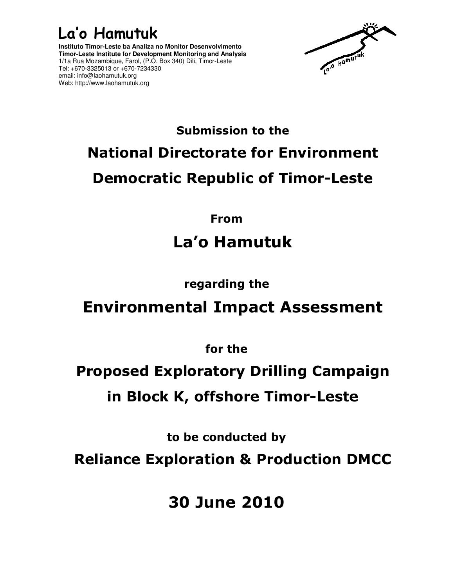### La'o Hamutuk

**Instituto Timor-Leste ba Analiza no Monitor Desenvolvimento Timor-Leste Institute for Development Monitoring and Analysis**  1/1a Rua Mozambique, Farol, (P.O. Box 340) Dili, Timor-Leste Tel: +670-3325013 or +670-7234330 email: info@laohamutuk.org Web: http://www.laohamutuk.org



# Submission to the National Directorate for Environment Democratic Republic of Timor-Leste

From

## La'o Hamutuk

### regarding the

## Environmental Impact Assessment

for the

# Proposed Exploratory Drilling Campaign in Block K, offshore Timor-Leste

to be conducted by

Reliance Exploration & Production DMCC

30 June 2010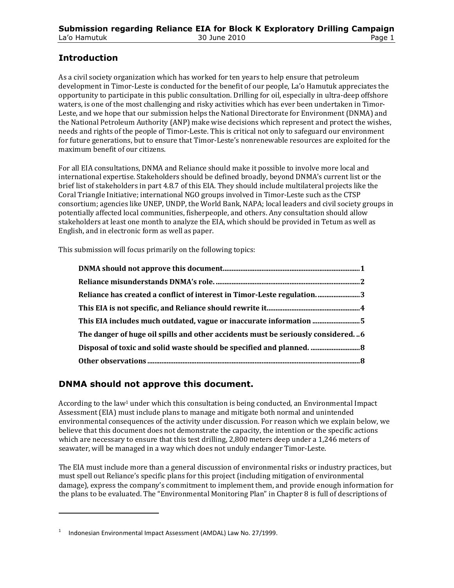#### Introduction

As a civil society organization which has worked for ten years to help ensure that petroleum development in Timor-Leste is conducted for the benefit of our people, La'o Hamutuk appreciates the opportunity to participate in this public consultation. Drilling for oil, especially in ultra-deep offshore waters, is one of the most challenging and risky activities which has ever been undertaken in Timor-Leste, and we hope that our submission helps the National Directorate for Environment (DNMA) and the National Petroleum Authority (ANP) make wise decisions which represent and protect the wishes, needs and rights of the people of Timor-Leste. This is critical not only to safeguard our environment for future generations, but to ensure that Timor-Leste's nonrenewable resources are exploited for the maximum benefit of our citizens.

For all EIA consultations, DNMA and Reliance should make it possible to involve more local and international expertise. Stakeholders should be defined broadly, beyond DNMA's current list or the brief list of stakeholders in part 4.8.7 of this EIA. They should include multilateral projects like the Coral Triangle Initiative; international NGO groups involved in Timor-Leste such as the CTSP consortium; agencies like UNEP, UNDP, the World Bank, NAPA; local leaders and civil society groups in potentially affected local communities, fisherpeople, and others. Any consultation should allow stakeholders at least one month to analyze the EIA, which should be provided in Tetum as well as English, and in electronic form as well as paper.

This submission will focus primarily on the following topics:

| Reliance has created a conflict of interest in Timor-Leste regulation3          |  |
|---------------------------------------------------------------------------------|--|
|                                                                                 |  |
|                                                                                 |  |
| The danger of huge oil spills and other accidents must be seriously considered6 |  |
|                                                                                 |  |
|                                                                                 |  |

#### DNMA should not approve this document.

According to the law<sup>1</sup> under which this consultation is being conducted, an Environmental Impact Assessment (EIA) must include plans to manage and mitigate both normal and unintended environmental consequences of the activity under discussion. For reason which we explain below, we believe that this document does not demonstrate the capacity, the intention or the specific actions which are necessary to ensure that this test drilling, 2,800 meters deep under a 1,246 meters of seawater, will be managed in a way which does not unduly endanger Timor-Leste.

The EIA must include more than a general discussion of environmental risks or industry practices, but must spell out Reliance's specific plans for this project (including mitigation of environmental damage), express the company's commitment to implement them, and provide enough information for the plans to be evaluated. The "Environmental Monitoring Plan" in Chapter 8 is full of descriptions of

l

<sup>1</sup> Indonesian Environmental Impact Assessment (AMDAL) Law No. 27/1999.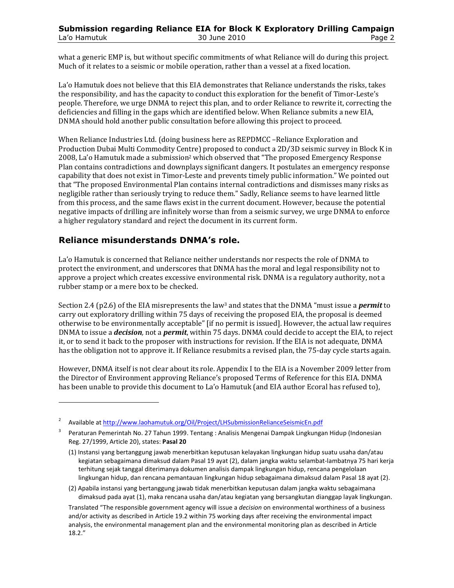what a generic EMP is, but without specific commitments of what Reliance will do during this project. Much of it relates to a seismic or mobile operation, rather than a vessel at a fixed location.

La'o Hamutuk does not believe that this EIA demonstrates that Reliance understands the risks, takes the responsibility, and has the capacity to conduct this exploration for the benefit of Timor-Leste's people. Therefore, we urge DNMA to reject this plan, and to order Reliance to rewrite it, correcting the deficiencies and filling in the gaps which are identified below. When Reliance submits a new EIA, DNMA should hold another public consultation before allowing this project to proceed.

When Reliance Industries Ltd. (doing business here as REPDMCC –Reliance Exploration and Production Dubai Multi Commodity Centre) proposed to conduct a 2D/3D seismic survey in Block K in 2008, La'o Hamutuk made a submission2 which observed that "The proposed Emergency Response Plan contains contradictions and downplays significant dangers. It postulates an emergency response capability that does not exist in Timor-Leste and prevents timely public information." We pointed out that "The proposed Environmental Plan contains internal contradictions and dismisses many risks as negligible rather than seriously trying to reduce them." Sadly, Reliance seems to have learned little from this process, and the same flaws exist in the current document. However, because the potential negative impacts of drilling are infinitely worse than from a seismic survey, we urge DNMA to enforce a higher regulatory standard and reject the document in its current form.

#### Reliance misunderstands DNMA's role.

l

La'o Hamutuk is concerned that Reliance neither understands nor respects the role of DNMA to protect the environment, and underscores that DNMA has the moral and legal responsibility not to approve a project which creates excessive environmental risk. DNMA is a regulatory authority, not a rubber stamp or a mere box to be checked.

Section 2.4 (p2.6) of the EIA misrepresents the law<sup>3</sup> and states that the DNMA "must issue a *permit* to carry out exploratory drilling within 75 days of receiving the proposed EIA, the proposal is deemed otherwise to be environmentally acceptable" [if no permit is issued]. However, the actual law requires DNMA to issue a *decision*, not a *permit*, within 75 days. DNMA could decide to accept the EIA, to reject it, or to send it back to the proposer with instructions for revision. If the EIA is not adequate, DNMA has the obligation not to approve it. If Reliance resubmits a revised plan, the 75-day cycle starts again.

However, DNMA itself is not clear about its role. Appendix I to the EIA is a November 2009 letter from the Director of Environment approving Reliance's proposed Terms of Reference for this EIA. DNMA has been unable to provide this document to La'o Hamutuk (and EIA author Ecoral has refused to),

<sup>2</sup> Available at http://www.laohamutuk.org/Oil/Project/LHSubmissionRelianceSeismicEn.pdf

<sup>3</sup> Peraturan Pemerintah No. 27 Tahun 1999. Tentang : Analisis Mengenai Dampak Lingkungan Hidup (Indonesian Reg. 27/1999, Article 20), states: Pasal 20

<sup>(1)</sup> Instansi yang bertanggung jawab menerbitkan keputusan kelayakan lingkungan hidup suatu usaha dan/atau kegiatan sebagaimana dimaksud dalam Pasal 19 ayat (2), dalam jangka waktu selambat-lambatnya 75 hari kerja terhitung sejak tanggal diterimanya dokumen analisis dampak lingkungan hidup, rencana pengelolaan lingkungan hidup, dan rencana pemantauan lingkungan hidup sebagaimana dimaksud dalam Pasal 18 ayat (2).

<sup>(2)</sup> Apabila instansi yang bertanggung jawab tidak menerbitkan keputusan dalam jangka waktu sebagaimana dimaksud pada ayat (1), maka rencana usaha dan/atau kegiatan yang bersangkutan dianggap layak lingkungan.

Translated "The responsible government agency will issue a decision on environmental worthiness of a business and/or activity as described in Article 19.2 within 75 working days after receiving the environmental impact analysis, the environmental management plan and the environmental monitoring plan as described in Article 18.2."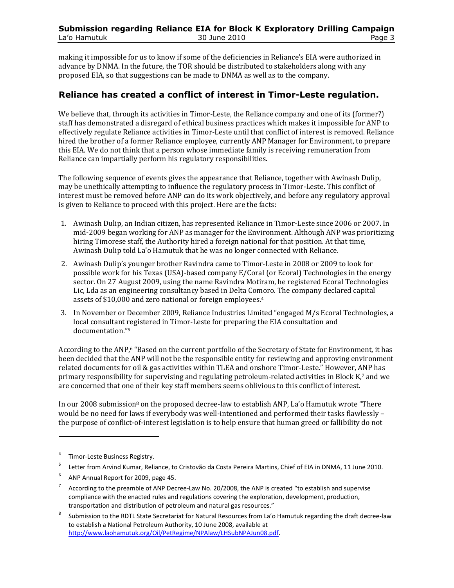making it impossible for us to know if some of the deficiencies in Reliance's EIA were authorized in advance by DNMA. In the future, the TOR should be distributed to stakeholders along with any proposed EIA, so that suggestions can be made to DNMA as well as to the company.

#### Reliance has created a conflict of interest in Timor-Leste regulation.

We believe that, through its activities in Timor-Leste, the Reliance company and one of its (former?) staff has demonstrated a disregard of ethical business practices which makes it impossible for ANP to effectively regulate Reliance activities in Timor-Leste until that conflict of interest is removed. Reliance hired the brother of a former Reliance employee, currently ANP Manager for Environment, to prepare this EIA. We do not think that a person whose immediate family is receiving remuneration from Reliance can impartially perform his regulatory responsibilities.

The following sequence of events gives the appearance that Reliance, together with Awinash Dulip, may be unethically attempting to influence the regulatory process in Timor-Leste. This conflict of interest must be removed before ANP can do its work objectively, and before any regulatory approval is given to Reliance to proceed with this project. Here are the facts:

- 1. Awinash Dulip, an Indian citizen, has represented Reliance in Timor-Leste since 2006 or 2007. In mid-2009 began working for ANP as manager for the Environment. Although ANP was prioritizing hiring Timorese staff, the Authority hired a foreign national for that position. At that time, Awinash Dulip told La'o Hamutuk that he was no longer connected with Reliance.
- 2. Awinash Dulip's younger brother Ravindra came to Timor-Leste in 2008 or 2009 to look for possible work for his Texas (USA)-based company E/Coral (or Ecoral) Technologies in the energy sector. On 27 August 2009, using the name Ravindra Motiram, he registered Ecoral Technologies Lic, Lda as an engineering consultancy based in Delta Comoro. The company declared capital assets of \$10,000 and zero national or foreign employees.<sup>4</sup>
- 3. In November or December 2009, Reliance Industries Limited "engaged M/s Ecoral Technologies, a local consultant registered in Timor-Leste for preparing the EIA consultation and documentation."<sup>5</sup>

According to the ANP,6 "Based on the current portfolio of the Secretary of State for Environment, it has been decided that the ANP will not be the responsible entity for reviewing and approving environment related documents for oil & gas activities within TLEA and onshore Timor-Leste." However, ANP has primary responsibility for supervising and regulating petroleum-related activities in Block K,7 and we are concerned that one of their key staff members seems oblivious to this conflict of interest.

In our 2008 submission<sup>8</sup> on the proposed decree-law to establish ANP, La'o Hamutuk wrote "There would be no need for laws if everybody was well-intentioned and performed their tasks flawlessly – the purpose of conflict-of-interest legislation is to help ensure that human greed or fallibility do not

l

<sup>&</sup>lt;sup>4</sup> Timor-Leste Business Registry.

<sup>5</sup>Letter from Arvind Kumar, Reliance, to Cristovão da Costa Pereira Martins, Chief of EIA in DNMA, 11 June 2010.

 $6$  ANP Annual Report for 2009, page 45.

<sup>7</sup> According to the preamble of ANP Decree-Law No. 20/2008, the ANP is created "to establish and supervise compliance with the enacted rules and regulations covering the exploration, development, production, transportation and distribution of petroleum and natural gas resources."

<sup>8</sup> Submission to the RDTL State Secretariat for Natural Resources from La'o Hamutuk regarding the draft decree-law to establish a National Petroleum Authority, 10 June 2008, available at http://www.laohamutuk.org/Oil/PetRegime/NPAlaw/LHSubNPAJun08.pdf.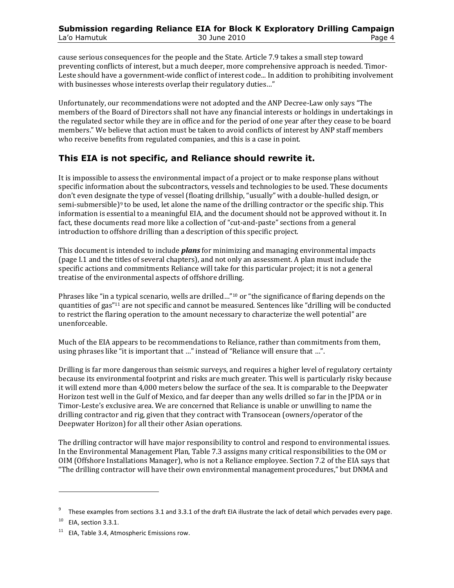cause serious consequences for the people and the State. Article 7.9 takes a small step toward preventing conflicts of interest, but a much deeper, more comprehensive approach is needed. Timor-Leste should have a government-wide conflict of interest code... In addition to prohibiting involvement with businesses whose interests overlap their regulatory duties..."

Unfortunately, our recommendations were not adopted and the ANP Decree-Law only says "The members of the Board of Directors shall not have any financial interests or holdings in undertakings in the regulated sector while they are in office and for the period of one year after they cease to be board members." We believe that action must be taken to avoid conflicts of interest by ANP staff members who receive benefits from regulated companies, and this is a case in point.

#### This EIA is not specific, and Reliance should rewrite it.

It is impossible to assess the environmental impact of a project or to make response plans without specific information about the subcontractors, vessels and technologies to be used. These documents don't even designate the type of vessel (floating drillship, "usually" with a double-hulled design, or semi-submersible)<sup>9</sup> to be used, let alone the name of the drilling contractor or the specific ship. This information is essential to a meaningful EIA, and the document should not be approved without it. In fact, these documents read more like a collection of "cut-and-paste" sections from a general introduction to offshore drilling than a description of this specific project.

This document is intended to include *plans* for minimizing and managing environmental impacts (page I.1 and the titles of several chapters), and not only an assessment. A plan must include the specific actions and commitments Reliance will take for this particular project; it is not a general treatise of the environmental aspects of offshore drilling.

Phrases like "in a typical scenario, wells are drilled..."<sup>10</sup> or "the significance of flaring depends on the quantities of gas"11 are not specific and cannot be measured. Sentences like "drilling will be conducted to restrict the flaring operation to the amount necessary to characterize the well potential" are unenforceable.

Much of the EIA appears to be recommendations to Reliance, rather than commitments from them, using phrases like "it is important that …" instead of "Reliance will ensure that …".

Drilling is far more dangerous than seismic surveys, and requires a higher level of regulatory certainty because its environmental footprint and risks are much greater. This well is particularly risky because it will extend more than 4,000 meters below the surface of the sea. It is comparable to the Deepwater Horizon test well in the Gulf of Mexico, and far deeper than any wells drilled so far in the JPDA or in Timor-Leste's exclusive area. We are concerned that Reliance is unable or unwilling to name the drilling contractor and rig, given that they contract with Transocean (owners/operator of the Deepwater Horizon) for all their other Asian operations.

The drilling contractor will have major responsibility to control and respond to environmental issues. In the Environmental Management Plan, Table 7.3 assigns many critical responsibilities to the OM or OIM (Offshore Installations Manager), who is not a Reliance employee. Section 7.2 of the EIA says that "The drilling contractor will have their own environmental management procedures," but DNMA and

l

<sup>9</sup> These examples from sections 3.1 and 3.3.1 of the draft EIA illustrate the lack of detail which pervades every page.

 $10$  EIA, section 3.3.1.

 $11$  EIA, Table 3.4, Atmospheric Emissions row.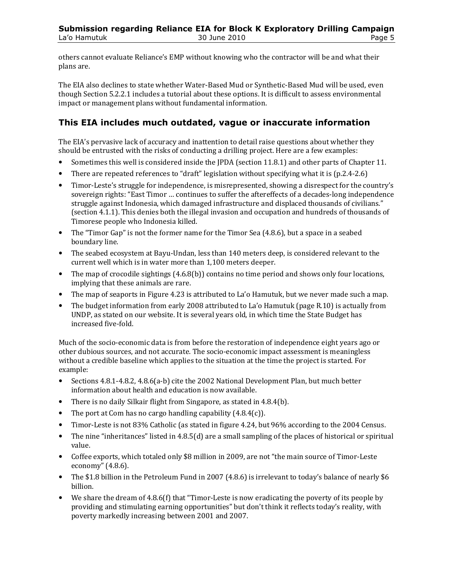others cannot evaluate Reliance's EMP without knowing who the contractor will be and what their plans are.

The EIA also declines to state whether Water-Based Mud or Synthetic-Based Mud will be used, even though Section 5.2.2.1 includes a tutorial about these options. It is difficult to assess environmental impact or management plans without fundamental information.

#### This EIA includes much outdated, vague or inaccurate information

The EIA's pervasive lack of accuracy and inattention to detail raise questions about whether they should be entrusted with the risks of conducting a drilling project. Here are a few examples:

- Sometimes this well is considered inside the JPDA (section 11.8.1) and other parts of Chapter 11.
- There are repeated references to "draft" legislation without specifying what it is (p.2.4-2.6)
- Timor-Leste's struggle for independence, is misrepresented, showing a disrespect for the country's sovereign rights: "East Timor … continues to suffer the aftereffects of a decades-long independence struggle against Indonesia, which damaged infrastructure and displaced thousands of civilians." (section 4.1.1). This denies both the illegal invasion and occupation and hundreds of thousands of Timorese people who Indonesia killed.
- The "Timor Gap" is not the former name for the Timor Sea (4.8.6), but a space in a seabed boundary line.
- The seabed ecosystem at Bayu-Undan, less than 140 meters deep, is considered relevant to the current well which is in water more than 1,100 meters deeper.
- The map of crocodile sightings (4.6.8(b)) contains no time period and shows only four locations, implying that these animals are rare.
- The map of seaports in Figure 4.23 is attributed to La'o Hamutuk, but we never made such a map.
- The budget information from early 2008 attributed to La'o Hamutuk (page R.10) is actually from UNDP, as stated on our website. It is several years old, in which time the State Budget has increased five-fold.

Much of the socio-economic data is from before the restoration of independence eight years ago or other dubious sources, and not accurate. The socio-economic impact assessment is meaningless without a credible baseline which applies to the situation at the time the project is started. For example:

- Sections 4.8.1-4.8.2, 4.8.6(a-b) cite the 2002 National Development Plan, but much better information about health and education is now available.
- There is no daily Silkair flight from Singapore, as stated in 4.8.4(b).
- The port at Com has no cargo handling capability  $(4.8.4(c))$ .
- Timor-Leste is not 83% Catholic (as stated in figure 4.24, but 96% according to the 2004 Census.
- The nine "inheritances" listed in 4.8.5(d) are a small sampling of the places of historical or spiritual value.
- Coffee exports, which totaled only \$8 million in 2009, are not "the main source of Timor-Leste economy" (4.8.6).
- The \$1.8 billion in the Petroleum Fund in 2007 (4.8.6) is irrelevant to today's balance of nearly \$6 billion.
- We share the dream of 4.8.6(f) that "Timor-Leste is now eradicating the poverty of its people by providing and stimulating earning opportunities" but don't think it reflects today's reality, with poverty markedly increasing between 2001 and 2007.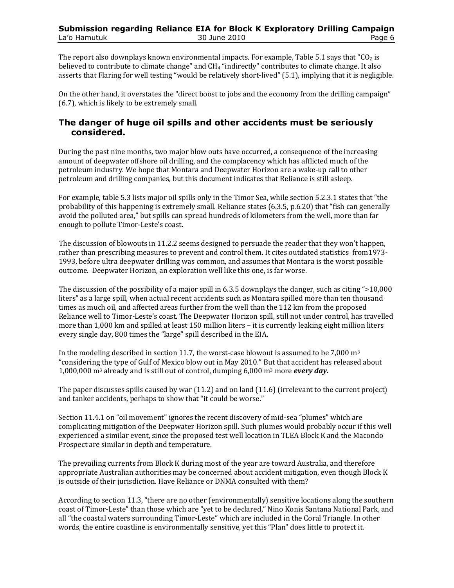The report also downplays known environmental impacts. For example, Table 5.1 says that " $CO<sub>2</sub>$  is believed to contribute to climate change" and CH4 "indirectly" contributes to climate change. It also asserts that Flaring for well testing "would be relatively short-lived" (5.1), implying that it is negligible.

On the other hand, it overstates the "direct boost to jobs and the economy from the drilling campaign" (6.7), which is likely to be extremely small.

#### The danger of huge oil spills and other accidents must be seriously considered.

During the past nine months, two major blow outs have occurred, a consequence of the increasing amount of deepwater offshore oil drilling, and the complacency which has afflicted much of the petroleum industry. We hope that Montara and Deepwater Horizon are a wake-up call to other petroleum and drilling companies, but this document indicates that Reliance is still asleep.

For example, table 5.3 lists major oil spills only in the Timor Sea, while section 5.2.3.1 states that "the probability of this happening is extremely small. Reliance states (6.3.5, p.6.20) that "fish can generally avoid the polluted area," but spills can spread hundreds of kilometers from the well, more than far enough to pollute Timor-Leste's coast.

The discussion of blowouts in 11.2.2 seems designed to persuade the reader that they won't happen, rather than prescribing measures to prevent and control them. It cites outdated statistics from1973- 1993, before ultra deepwater drilling was common, and assumes that Montara is the worst possible outcome. Deepwater Horizon, an exploration well like this one, is far worse.

The discussion of the possibility of a major spill in 6.3.5 downplays the danger, such as citing ">10,000 liters" as a large spill, when actual recent accidents such as Montara spilled more than ten thousand times as much oil, and affected areas further from the well than the 112 km from the proposed Reliance well to Timor-Leste's coast. The Deepwater Horizon spill, still not under control, has travelled more than 1,000 km and spilled at least 150 million liters – it is currently leaking eight million liters every single day, 800 times the "large" spill described in the EIA.

In the modeling described in section 11.7, the worst-case blowout is assumed to be 7,000  $\mathrm{m}^3$ "considering the type of Gulf of Mexico blow out in May 2010." But that accident has released about 1,000,000 m<sup>3</sup> already and is still out of control, dumping  $6,000$  m<sup>3</sup> more every day.

The paper discusses spills caused by war (11.2) and on land (11.6) (irrelevant to the current project) and tanker accidents, perhaps to show that "it could be worse."

Section 11.4.1 on "oil movement" ignores the recent discovery of mid-sea "plumes" which are complicating mitigation of the Deepwater Horizon spill. Such plumes would probably occur if this well experienced a similar event, since the proposed test well location in TLEA Block K and the Macondo Prospect are similar in depth and temperature.

The prevailing currents from Block K during most of the year are toward Australia, and therefore appropriate Australian authorities may be concerned about accident mitigation, even though Block K is outside of their jurisdiction. Have Reliance or DNMA consulted with them?

According to section 11.3, "there are no other (environmentally) sensitive locations along the southern coast of Timor-Leste" than those which are "yet to be declared," Nino Konis Santana National Park, and all "the coastal waters surrounding Timor-Leste" which are included in the Coral Triangle. In other words, the entire coastline is environmentally sensitive, yet this "Plan" does little to protect it.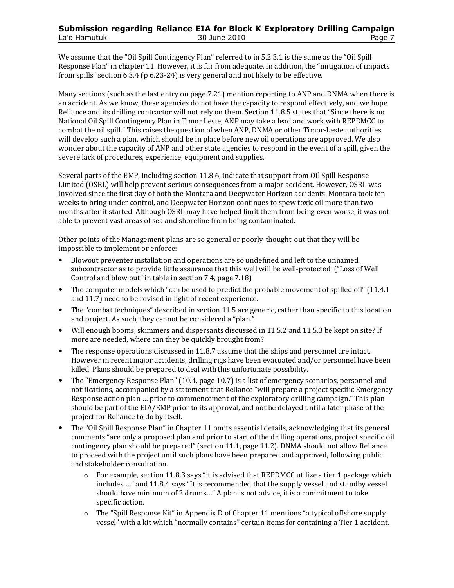We assume that the "Oil Spill Contingency Plan" referred to in 5.2.3.1 is the same as the "Oil Spill Response Plan" in chapter 11. However, it is far from adequate. In addition, the "mitigation of impacts from spills" section 6.3.4 (p 6.23-24) is very general and not likely to be effective.

Many sections (such as the last entry on page 7.21) mention reporting to ANP and DNMA when there is an accident. As we know, these agencies do not have the capacity to respond effectively, and we hope Reliance and its drilling contractor will not rely on them. Section 11.8.5 states that "Since there is no National Oil Spill Contingency Plan in Timor Leste, ANP may take a lead and work with REPDMCC to combat the oil spill." This raises the question of when ANP, DNMA or other Timor-Leste authorities will develop such a plan, which should be in place before new oil operations are approved. We also wonder about the capacity of ANP and other state agencies to respond in the event of a spill, given the severe lack of procedures, experience, equipment and supplies.

Several parts of the EMP, including section 11.8.6, indicate that support from Oil Spill Response Limited (OSRL) will help prevent serious consequences from a major accident. However, OSRL was involved since the first day of both the Montara and Deepwater Horizon accidents. Montara took ten weeks to bring under control, and Deepwater Horizon continues to spew toxic oil more than two months after it started. Although OSRL may have helped limit them from being even worse, it was not able to prevent vast areas of sea and shoreline from being contaminated.

Other points of the Management plans are so general or poorly-thought-out that they will be impossible to implement or enforce:

- Blowout preventer installation and operations are so undefined and left to the unnamed subcontractor as to provide little assurance that this well will be well-protected. ("Loss of Well Control and blow out" in table in section 7.4, page 7.18)
- The computer models which "can be used to predict the probable movement of spilled oil" (11.4.1) and 11.7) need to be revised in light of recent experience.
- The "combat techniques" described in section 11.5 are generic, rather than specific to this location and project. As such, they cannot be considered a "plan."
- Will enough booms, skimmers and dispersants discussed in 11.5.2 and 11.5.3 be kept on site? If more are needed, where can they be quickly brought from?
- The response operations discussed in 11.8.7 assume that the ships and personnel are intact. However in recent major accidents, drilling rigs have been evacuated and/or personnel have been killed. Plans should be prepared to deal with this unfortunate possibility.
- The "Emergency Response Plan" (10.4, page 10.7) is a list of emergency scenarios, personnel and notifications, accompanied by a statement that Reliance "will prepare a project specific Emergency Response action plan … prior to commencement of the exploratory drilling campaign." This plan should be part of the EIA/EMP prior to its approval, and not be delayed until a later phase of the project for Reliance to do by itself.
- The "Oil Spill Response Plan" in Chapter 11 omits essential details, acknowledging that its general comments "are only a proposed plan and prior to start of the drilling operations, project specific oil contingency plan should be prepared" (section 11.1, page 11.2). DNMA should not allow Reliance to proceed with the project until such plans have been prepared and approved, following public and stakeholder consultation.
	- $\circ$  For example, section 11.8.3 says "it is advised that REPDMCC utilize a tier 1 package which includes …" and 11.8.4 says "It is recommended that the supply vessel and standby vessel should have minimum of 2 drums…" A plan is not advice, it is a commitment to take specific action.
	- $\circ$  The "Spill Response Kit" in Appendix D of Chapter 11 mentions "a typical offshore supply vessel" with a kit which "normally contains" certain items for containing a Tier 1 accident.